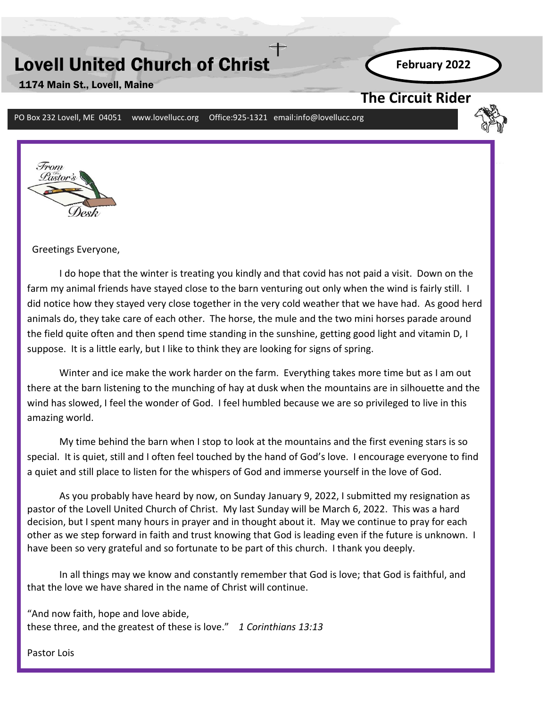# Lovell United Church of Christ

1174 Main St., Lovell, Maine

**February 2022**

### **The Circuit Rider**

PO Box 232 Lovell, ME 04051 www.lovellucc.org Office:925-1321 email:info@lovellucc.org



Greetings Everyone,

I do hope that the winter is treating you kindly and that covid has not paid a visit. Down on the farm my animal friends have stayed close to the barn venturing out only when the wind is fairly still. I did notice how they stayed very close together in the very cold weather that we have had. As good herd animals do, they take care of each other. The horse, the mule and the two mini horses parade around the field quite often and then spend time standing in the sunshine, getting good light and vitamin D, I suppose. It is a little early, but I like to think they are looking for signs of spring.

wind has slowed, I feel the wonder of God. I feel humbled because we are so privileged to live in this Winter and ice make the work harder on the farm. Everything takes more time but as I am out there at the barn listening to the munching of hay at dusk when the mountains are in silhouette and the amazing world.

My time behind the barn when I stop to look at the mountains and the first evening stars is so special. It is quiet, still and I often feel touched by the hand of God's love. I encourage everyone to find a quiet and still place to listen for the whispers of God and immerse yourself in the love of God.

As you probably have heard by now, on Sunday January 9, 2022, I submitted my resignation as pastor of the Lovell United Church of Christ. My last Sunday will be March 6, 2022. This was a hard decision, but I spent many hours in prayer and in thought about it. May we continue to pray for each other as we step forward in faith and trust knowing that God is leading even if the future is unknown. I have been so very grateful and so fortunate to be part of this church. I thank you deeply.

In all things may we know and constantly remember that God is love; that God is faithful, and that the love we have shared in the name of Christ will continue.

"And now faith, hope and love abide, these three, and the greatest of these is love." *1 Corinthians 13:13*

Pastor Lois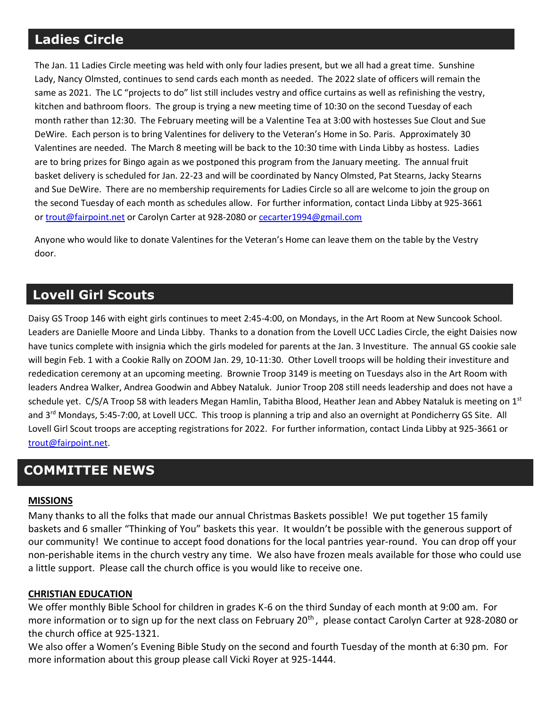## **Ladies Circle**

The Jan. 11 Ladies Circle meeting was held with only four ladies present, but we all had a great time. Sunshine Lady, Nancy Olmsted, continues to send cards each month as needed. The 2022 slate of officers will remain the same as 2021. The LC "projects to do" list still includes vestry and office curtains as well as refinishing the vestry, kitchen and bathroom floors. The group is trying a new meeting time of 10:30 on the second Tuesday of each month rather than 12:30. The February meeting will be a Valentine Tea at 3:00 with hostesses Sue Clout and Sue DeWire. Each person is to bring Valentines for delivery to the Veteran's Home in So. Paris. Approximately 30 Valentines are needed. The March 8 meeting will be back to the 10:30 time with Linda Libby as hostess. Ladies are to bring prizes for Bingo again as we postponed this program from the January meeting. The annual fruit basket delivery is scheduled for Jan. 22-23 and will be coordinated by Nancy Olmsted, Pat Stearns, Jacky Stearns and Sue DeWire. There are no membership requirements for Ladies Circle so all are welcome to join the group on the second Tuesday of each month as schedules allow. For further information, contact Linda Libby at 925-3661 or [trout@fairpoint.net](mailto:trout@fairpoint.net) or Carolyn Carter at 928-2080 or [cecarter1994@gmail.com](mailto:cecarter1994@gmail.com)

Anyone who would like to donate Valentines for the Veteran's Home can leave them on the table by the Vestry door.

## **Lovell Girl Scouts**

Daisy GS Troop 146 with eight girls continues to meet 2:45-4:00, on Mondays, in the Art Room at New Suncook School. Leaders are Danielle Moore and Linda Libby. Thanks to a donation from the Lovell UCC Ladies Circle, the eight Daisies now have tunics complete with insignia which the girls modeled for parents at the Jan. 3 Investiture. The annual GS cookie sale will begin Feb. 1 with a Cookie Rally on ZOOM Jan. 29, 10-11:30. Other Lovell troops will be holding their investiture and rededication ceremony at an upcoming meeting. Brownie Troop 3149 is meeting on Tuesdays also in the Art Room with leaders Andrea Walker, Andrea Goodwin and Abbey Nataluk. Junior Troop 208 still needs leadership and does not have a schedule yet. C/S/A Troop 58 with leaders Megan Hamlin, Tabitha Blood, Heather Jean and Abbey Nataluk is meeting on  $1^{st}$ and 3rd Mondays, 5:45-7:00, at Lovell UCC. This troop is planning a trip and also an overnight at Pondicherry GS Site. All Lovell Girl Scout troops are accepting registrations for 2022. For further information, contact Linda Libby at 925-3661 or [trout@fairpoint.net.](mailto:trout@fairpoint.net)

## **COMMITTEE NEWS**

### **MISSIONS**

Many thanks to all the folks that made our annual Christmas Baskets possible! We put together 15 family baskets and 6 smaller "Thinking of You" baskets this year. It wouldn't be possible with the generous support of our community! We continue to accept food donations for the local pantries year-round. You can drop off your non-perishable items in the church vestry any time. We also have frozen meals available for those who could use a little support. Please call the church office is you would like to receive one.

#### **CHRISTIAN EDUCATION**

We offer monthly Bible School for children in grades K-6 on the third Sunday of each month at 9:00 am. For more information or to sign up for the next class on February 20<sup>th</sup>, please contact Carolyn Carter at 928-2080 or the church office at 925-1321.

We also offer a Women's Evening Bible Study on the second and fourth Tuesday of the month at 6:30 pm. For more information about this group please call Vicki Royer at 925-1444.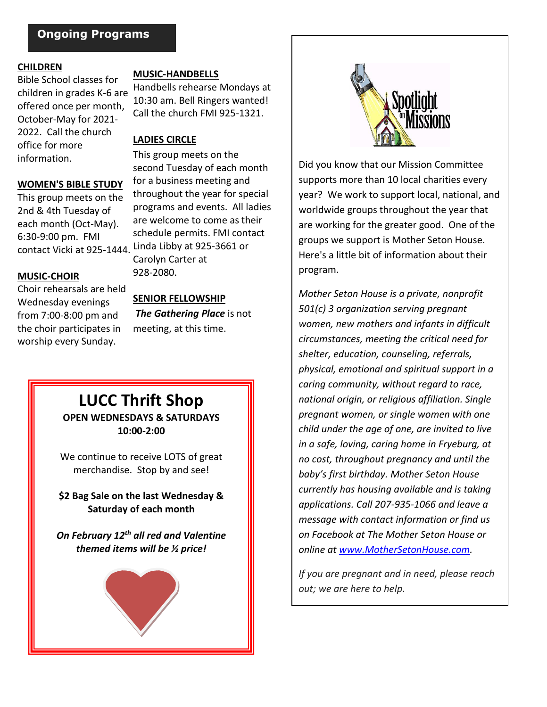### **Ongoing Programs**

#### **CHILDREN**

Bible School classes for children in grades K-6 are offered once per month, October-May for 2021- 2022. Call the church office for more information.

#### **WOMEN'S BIBLE STUDY**

This group meets on the 2nd & 4th Tuesday of each month (Oct-May). 6:30-9:00 pm. FMI

#### **MUSIC-CHOIR**

Choir rehearsals are held Wednesday evenings from 7:00-8:00 pm and the choir participates in worship every Sunday.

#### **MUSIC-HANDBELLS**

Handbells rehearse Mondays at 10:30 am. Bell Ringers wanted! Call the church FMI 925-1321.

#### **LADIES CIRCLE**

This group meets on the second Tuesday of each month for a business meeting and throughout the year for special programs and events. All ladies are welcome to come as their schedule permits. FMI contact contact Vicki at 925-1444. Linda Libby at 925-3661 or Carolyn Carter at 928-2080.

#### **SENIOR FELLOWSHIP**

*The Gathering Place* is not meeting, at this time.

### **LUCC Thrift Shop OPEN WEDNESDAYS & SATURDAYS 10:00-2:00**

We continue to receive LOTS of great merchandise.Stop by and see!

**\$2 Bag Sale on the last Wednesday & Saturday of each month**

*On February 12th all red and Valentine themed items will be ½ price!*





Did you know that our Mission Committee supports more than 10 local charities every year? We work to support local, national, and worldwide groups throughout the year that are working for the greater good. One of the groups we support is Mother Seton House. Here's a little bit of information about their program.

*Mother Seton House is a private, nonprofit 501(c) 3 organization serving pregnant women, new mothers and infants in difficult circumstances, meeting the critical need for shelter, education, counseling, referrals, physical, emotional and spiritual support in a caring community, without regard to race, national origin, or religious affiliation. Single pregnant women, or single women with one child under the age of one, are invited to live in a safe, loving, caring home in Fryeburg, at no cost, throughout pregnancy and until the baby's first birthday. Mother Seton House currently has housing available and is taking applications. Call 207-935-1066 and leave a message with contact information or find us on Facebook at The Mother Seton House or online at [www.MotherSetonHouse.com.](http://www.mothersetonhouse.com/)*

*If you are pregnant and in need, please reach out; we are here to help.*